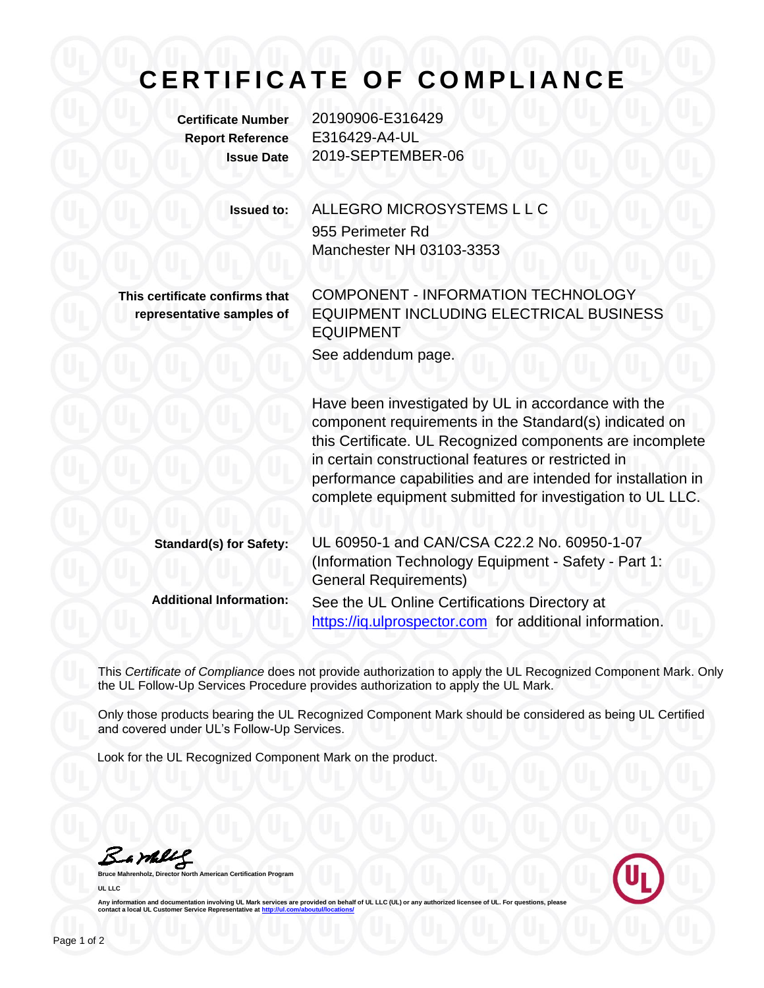## **C E R T I F I C A T E O F C O M P L I A N C E**

**Certificate Number** 20190906-E316429 **Report Reference** E316429-A4-UL **Issue Date** 2019-SEPTEMBER-06

> **Issued to:** ALLEGRO MICROSYSTEMS L L C 955 Perimeter Rd Manchester NH 03103-3353

**This certificate confirms that representative samples of** COMPONENT - INFORMATION TECHNOLOGY EQUIPMENT INCLUDING ELECTRICAL BUSINESS EQUIPMENT See addendum page.

Have been investigated by UL in accordance with the component requirements in the Standard(s) indicated on this Certificate. UL Recognized components are incomplete in certain constructional features or restricted in performance capabilities and are intended for installation in complete equipment submitted for investigation to UL LLC.

| <b>Standard(s) for Safety:</b> | UL 60950-1 and CAN/CSA C22.2 No. 60950-1-07             |
|--------------------------------|---------------------------------------------------------|
|                                | (Information Technology Equipment - Safety - Part 1:    |
|                                | <b>General Requirements)</b>                            |
| <b>Additional Information:</b> | See the UL Online Certifications Directory at           |
|                                | https://iq.ulprospector.com for additional information. |

This *Certificate of Compliance* does not provide authorization to apply the UL Recognized Component Mark. Only the UL Follow-Up Services Procedure provides authorization to apply the UL Mark.

Only those products bearing the UL Recognized Component Mark should be considered as being UL Certified and covered under UL's Follow-Up Services.

Look for the UL Recognized Component Mark on the product.

Barkey

**Bruce Mannest Certification Program UL LLC**



Any information and documentation involving UL Mark services are provided on behalf of UL LLC (UL) or any authorized licensee of UL. For questions, please<br>contact a local UL Customer Service Representative at <u>http://ul.co</u>